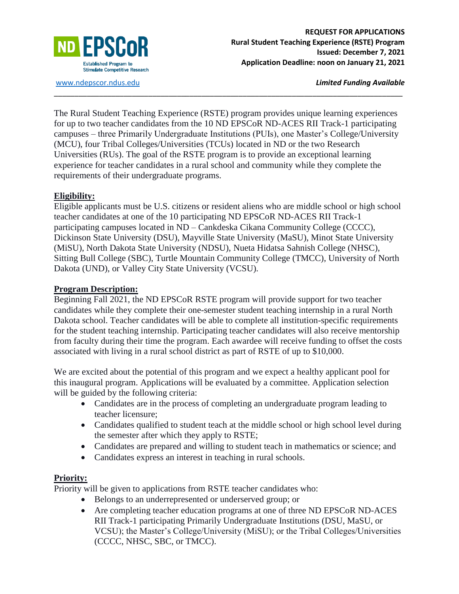

[www.ndepscor.ndus.edu](http://www.ndepscor.ndus.edu/) *Limited Funding Available*

The Rural Student Teaching Experience (RSTE) program provides unique learning experiences for up to two teacher candidates from the 10 ND EPSCoR ND-ACES RII Track-1 participating campuses – three Primarily Undergraduate Institutions (PUIs), one Master's College/University (MCU), four Tribal Colleges/Universities (TCUs) located in ND or the two Research Universities (RUs). The goal of the RSTE program is to provide an exceptional learning experience for teacher candidates in a rural school and community while they complete the requirements of their undergraduate programs.

\_\_\_\_\_\_\_\_\_\_\_\_\_\_\_\_\_\_\_\_\_\_\_\_\_\_\_\_\_\_\_\_\_\_\_\_\_\_\_\_\_\_\_\_\_\_\_\_\_\_\_\_\_\_\_\_\_\_\_\_\_\_\_\_\_\_\_\_\_\_\_\_\_\_\_\_\_\_\_\_\_\_\_\_\_

#### **Eligibility:**

Eligible applicants must be U.S. citizens or resident aliens who are middle school or high school teacher candidates at one of the 10 participating ND EPSCoR ND-ACES RII Track-1 participating campuses located in ND – Cankdeska Cikana Community College (CCCC), Dickinson State University (DSU), Mayville State University (MaSU), Minot State University (MiSU), North Dakota State University (NDSU), Nueta Hidatsa Sahnish College (NHSC), Sitting Bull College (SBC), Turtle Mountain Community College (TMCC), University of North Dakota (UND), or Valley City State University (VCSU).

#### **Program Description:**

Beginning Fall 2021, the ND EPSCoR RSTE program will provide support for two teacher candidates while they complete their one-semester student teaching internship in a rural North Dakota school. Teacher candidates will be able to complete all institution-specific requirements for the student teaching internship. Participating teacher candidates will also receive mentorship from faculty during their time the program. Each awardee will receive funding to offset the costs associated with living in a rural school district as part of RSTE of up to \$10,000.

We are excited about the potential of this program and we expect a healthy applicant pool for this inaugural program. Applications will be evaluated by a committee. Application selection will be guided by the following criteria:

- Candidates are in the process of completing an undergraduate program leading to teacher licensure;
- Candidates qualified to student teach at the middle school or high school level during the semester after which they apply to RSTE;
- Candidates are prepared and willing to student teach in mathematics or science; and
- Candidates express an interest in teaching in rural schools.

### **Priority:**

Priority will be given to applications from RSTE teacher candidates who:

- Belongs to an underrepresented or underserved group; or
- Are completing teacher education programs at one of three ND EPSCoR ND-ACES RII Track-1 participating Primarily Undergraduate Institutions (DSU, MaSU, or VCSU); the Master's College/University (MiSU); or the Tribal Colleges/Universities (CCCC, NHSC, SBC, or TMCC).